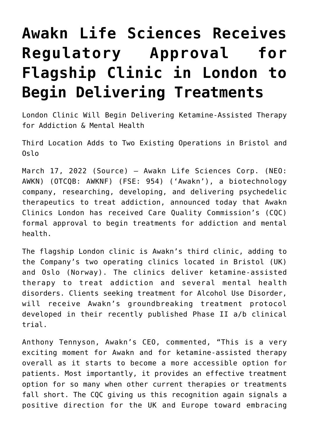## **[Awakn Life Sciences Receives](https://investorintel.com/markets/biotech-healthcare/biotech-news/awakn-life-sciences-receives-regulatory-approval-for-flagship-clinic-in-london-to-begin-delivering-treatments/) [Regulatory Approval for](https://investorintel.com/markets/biotech-healthcare/biotech-news/awakn-life-sciences-receives-regulatory-approval-for-flagship-clinic-in-london-to-begin-delivering-treatments/) [Flagship Clinic in London to](https://investorintel.com/markets/biotech-healthcare/biotech-news/awakn-life-sciences-receives-regulatory-approval-for-flagship-clinic-in-london-to-begin-delivering-treatments/) [Begin Delivering Treatments](https://investorintel.com/markets/biotech-healthcare/biotech-news/awakn-life-sciences-receives-regulatory-approval-for-flagship-clinic-in-london-to-begin-delivering-treatments/)**

London Clinic Will Begin Delivering Ketamine-Assisted Therapy for Addiction & Mental Health

Third Location Adds to Two Existing Operations in Bristol and Oslo

March 17, 2022 ([Source\)](https://www.newsfilecorp.com/release/117096/Awakn-Life-Sciences-Receives-Regulatory-Approval-for-Flagship-Clinic-in-London-to-Begin-Delivering-Treatments) — Awakn Life Sciences Corp. (NEO: AWKN) (OTCQB: AWKNF) (FSE: 954) ('Awakn'), a biotechnology company, researching, developing, and delivering psychedelic therapeutics to treat addiction, announced today that Awakn Clinics London has received Care Quality Commission's (CQC) formal approval to begin treatments for addiction and mental health.

The flagship London clinic is Awakn's third clinic, adding to the Company's two operating clinics located in Bristol (UK) and Oslo (Norway). The clinics deliver ketamine-assisted therapy to treat addiction and several mental health disorders. Clients seeking treatment for Alcohol Use Disorder, will receive Awakn's groundbreaking treatment protocol developed in their recently published Phase II a/b clinical trial.

Anthony Tennyson, Awakn's CEO, commented, "This is a very exciting moment for Awakn and for ketamine-assisted therapy overall as it starts to become a more accessible option for patients. Most importantly, it provides an effective treatment option for so many when other current therapies or treatments fall short. The CQC giving us this recognition again signals a positive direction for the UK and Europe toward embracing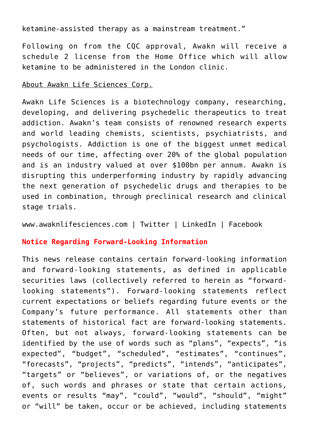ketamine-assisted therapy as a mainstream treatment."

Following on from the CQC approval, Awakn will receive a schedule 2 license from the Home Office which will allow ketamine to be administered in the London clinic.

## About Awakn Life Sciences Corp.

Awakn Life Sciences is a biotechnology company, researching, developing, and delivering psychedelic therapeutics to treat addiction. Awakn's team consists of renowned research experts and world leading chemists, scientists, psychiatrists, and psychologists. Addiction is one of the biggest unmet medical needs of our time, affecting over 20% of the global population and is an industry valued at over \$100bn per annum. Awakn is disrupting this underperforming industry by rapidly advancing the next generation of psychedelic drugs and therapies to be used in combination, through preclinical research and clinical stage trials.

[www.awaknlifesciences.com](https://www.newsfilecorp.com/redirect/rYyBPsJbyX) | [Twitter](https://www.newsfilecorp.com/redirect/VmXjxTxGX4) [| LinkedIn](https://www.newsfilecorp.com/redirect/zWxYNi71DV) | [Facebook](https://www.newsfilecorp.com/redirect/4W38DijA2P)

## **Notice Regarding Forward-Looking Information**

This news release contains certain forward-looking information and forward-looking statements, as defined in applicable securities laws (collectively referred to herein as "forwardlooking statements"). Forward-looking statements reflect current expectations or beliefs regarding future events or the Company's future performance. All statements other than statements of historical fact are forward-looking statements. Often, but not always, forward-looking statements can be identified by the use of words such as "plans", "expects", "is expected", "budget", "scheduled", "estimates", "continues", "forecasts", "projects", "predicts", "intends", "anticipates", "targets" or "believes", or variations of, or the negatives of, such words and phrases or state that certain actions, events or results "may", "could", "would", "should", "might" or "will" be taken, occur or be achieved, including statements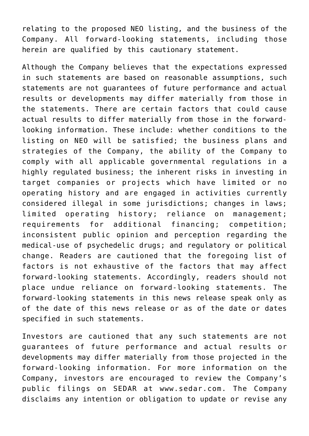relating to the proposed NEO listing, and the business of the Company. All forward-looking statements, including those herein are qualified by this cautionary statement.

Although the Company believes that the expectations expressed in such statements are based on reasonable assumptions, such statements are not guarantees of future performance and actual results or developments may differ materially from those in the statements. There are certain factors that could cause actual results to differ materially from those in the forwardlooking information. These include: whether conditions to the listing on NEO will be satisfied; the business plans and strategies of the Company, the ability of the Company to comply with all applicable governmental regulations in a highly regulated business; the inherent risks in investing in target companies or projects which have limited or no operating history and are engaged in activities currently considered illegal in some jurisdictions; changes in laws; limited operating history; reliance on management; requirements for additional financing; competition; inconsistent public opinion and perception regarding the medical-use of psychedelic drugs; and regulatory or political change. Readers are cautioned that the foregoing list of factors is not exhaustive of the factors that may affect forward-looking statements. Accordingly, readers should not place undue reliance on forward-looking statements. The forward-looking statements in this news release speak only as of the date of this news release or as of the date or dates specified in such statements.

Investors are cautioned that any such statements are not guarantees of future performance and actual results or developments may differ materially from those projected in the forward-looking information. For more information on the Company, investors are encouraged to review the Company's public filings on SEDAR at [www.sedar.com](https://www.newsfilecorp.com/redirect/jVe4EIEX8q). The Company disclaims any intention or obligation to update or revise any